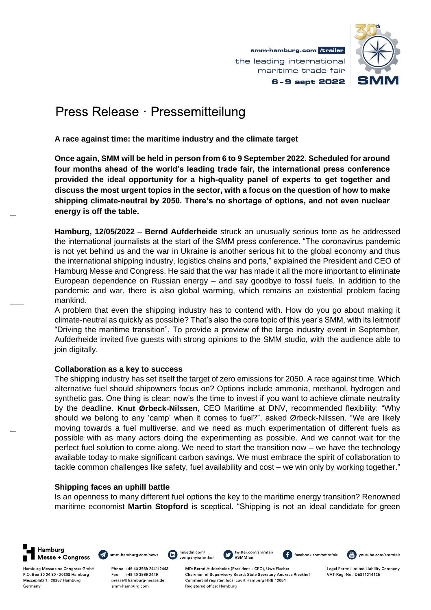

# Press Release · Pressemitteilung

**A race against time: the maritime industry and the climate target**

**Once again, SMM will be held in person from 6 to 9 September 2022. Scheduled for around four months ahead of the world's leading trade fair, the international press conference provided the ideal opportunity for a high-quality panel of experts to get together and discuss the most urgent topics in the sector, with a focus on the question of how to make shipping climate-neutral by 2050. There's no shortage of options, and not even nuclear energy is off the table.** 

**Hamburg, 12/05/2022** – **Bernd Aufderheide** struck an unusually serious tone as he addressed the international journalists at the start of the SMM press conference. "The coronavirus pandemic is not yet behind us and the war in Ukraine is another serious hit to the global economy and thus the international shipping industry, logistics chains and ports," explained the President and CEO of Hamburg Messe and Congress. He said that the war has made it all the more important to eliminate European dependence on Russian energy – and say goodbye to fossil fuels. In addition to the pandemic and war, there is also global warming, which remains an existential problem facing mankind.

A problem that even the shipping industry has to contend with. How do you go about making it climate-neutral as quickly as possible? That's also the core topic of this year's SMM, with its leitmotif "Driving the maritime transition". To provide a preview of the large industry event in September, Aufderheide invited five guests with strong opinions to the SMM studio, with the audience able to join digitally.

### **Collaboration as a key to success**

The shipping industry has set itself the target of zero emissions for 2050. A race against time. Which alternative fuel should shipowners focus on? Options include ammonia, methanol, hydrogen and synthetic gas. One thing is clear: now's the time to invest if you want to achieve climate neutrality by the deadline. **Knut Ørbeck-Nilssen**, CEO Maritime at DNV, recommended flexibility: "Why should we belong to any 'camp' when it comes to fuel?", asked Ørbeck-Nilssen. "We are likely moving towards a fuel multiverse, and we need as much experimentation of different fuels as possible with as many actors doing the experimenting as possible. And we cannot wait for the perfect fuel solution to come along. We need to start the transition now – we have the technology available today to make significant carbon savings. We must embrace the spirit of collaboration to tackle common challenges like safety, fuel availability and cost – we win only by working together."

## **Shipping faces an uphill battle**

Is an openness to many different fuel options the key to the maritime energy transition? Renowned maritime economist **Martin Stopford** is sceptical. "Shipping is not an ideal candidate for green





 $\boxed{\mathsf{in}}$ company/smmfair

linkedin.com/



F facebook.com/smmfair



Legal Form: Limited Liability Company VAT Reg No: DE811214125

Hamburg Messe und Congress GmbH P.O. Box 30 24 80 20308 Hamburg Messeplatz 1 20357 Hamburg Germany

Phone +49 40 3569 2441/2443 Fax +49 40 3569 2449 presse@hamburg-messe.de smm-hamburg.com

MD: Bernd Aufderheide (President + CEO), Uwe Fischer Chairman of Supervisory Board: State Secretary Andreas Rieckhof Commercial register: local court Hamburg HRB 12054 Registered office: Hamburg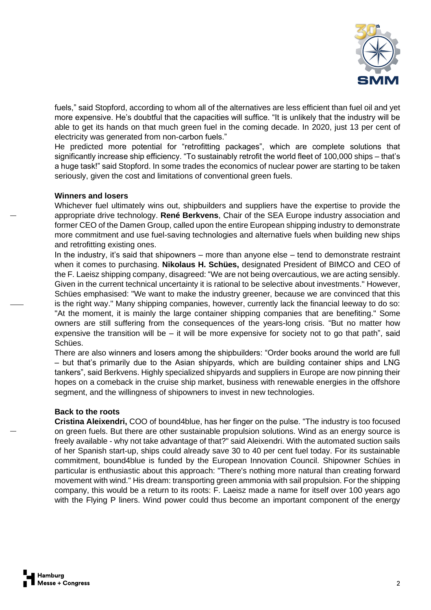

fuels," said Stopford, according to whom all of the alternatives are less efficient than fuel oil and yet more expensive. He's doubtful that the capacities will suffice. "It is unlikely that the industry will be able to get its hands on that much green fuel in the coming decade. In 2020, just 13 per cent of electricity was generated from non-carbon fuels."

He predicted more potential for "retrofitting packages", which are complete solutions that significantly increase ship efficiency. "To sustainably retrofit the world fleet of 100,000 ships – that's a huge task!" said Stopford. In some trades the economics of nuclear power are starting to be taken seriously, given the cost and limitations of conventional green fuels.

#### **Winners and losers**

Whichever fuel ultimately wins out, shipbuilders and suppliers have the expertise to provide the appropriate drive technology. **René Berkvens**, Chair of the SEA Europe industry association and former CEO of the Damen Group, called upon the entire European shipping industry to demonstrate more commitment and use fuel-saving technologies and alternative fuels when building new ships and retrofitting existing ones.

In the industry, it's said that shipowners – more than anyone else – tend to demonstrate restraint when it comes to purchasing. **Nikolaus H. Schües,** designated President of BIMCO and CEO of the F. Laeisz shipping company, disagreed: "We are not being overcautious, we are acting sensibly. Given in the current technical uncertainty it is rational to be selective about investments." However, Schües emphasised: "We want to make the industry greener, because we are convinced that this is the right way." Many shipping companies, however, currently lack the financial leeway to do so: "At the moment, it is mainly the large container shipping companies that are benefiting." Some owners are still suffering from the consequences of the years-long crisis. "But no matter how expensive the transition will be  $-$  it will be more expensive for society not to go that path", said Schües.

There are also winners and losers among the shipbuilders: "Order books around the world are full – but that's primarily due to the Asian shipyards, which are building container ships and LNG tankers", said Berkvens. Highly specialized shipyards and suppliers in Europe are now pinning their hopes on a comeback in the cruise ship market, business with renewable energies in the offshore segment, and the willingness of shipowners to invest in new technologies.

#### **Back to the roots**

**Cristina Aleixendri,** COO of bound4blue, has her finger on the pulse. "The industry is too focused on green fuels. But there are other sustainable propulsion solutions. Wind as an energy source is freely available - why not take advantage of that?" said Aleixendri. With the automated suction sails of her Spanish start-up, ships could already save 30 to 40 per cent fuel today. For its sustainable commitment, bound4blue is funded by the European Innovation Council. Shipowner Schües in particular is enthusiastic about this approach: "There's nothing more natural than creating forward movement with wind." His dream: transporting green ammonia with sail propulsion. For the shipping company, this would be a return to its roots: F. Laeisz made a name for itself over 100 years ago with the Flying P liners. Wind power could thus become an important component of the energy